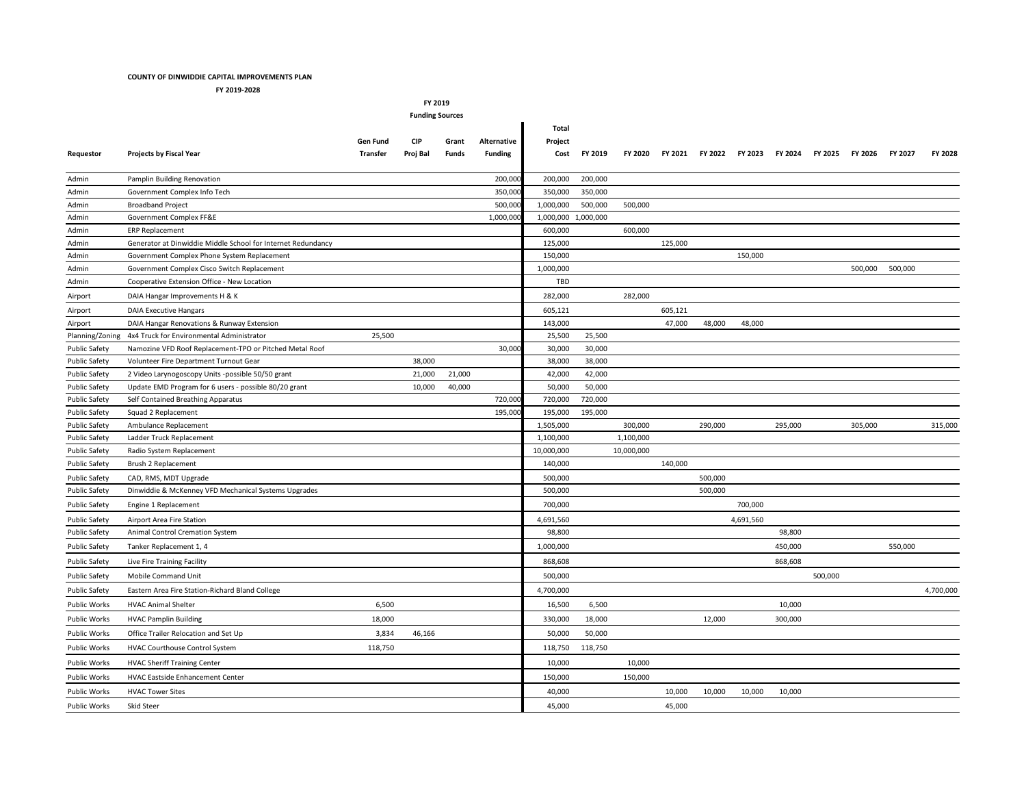## **COUNTY OF DINWIDDIE CAPITAL IMPROVEMENTS PLAN**

**FY 2019-2028**

**FY 2019**

| <b>Funding Sources</b> |                                                              |                 |          |        |                |                     |         |            |         |                 |           |         |         |         |         |           |
|------------------------|--------------------------------------------------------------|-----------------|----------|--------|----------------|---------------------|---------|------------|---------|-----------------|-----------|---------|---------|---------|---------|-----------|
|                        |                                                              |                 |          |        |                | Total               |         |            |         |                 |           |         |         |         |         |           |
|                        |                                                              | Gen Fund        | CIP      | Grant  | Alternative    | Project             |         |            |         |                 |           |         |         |         |         |           |
| Requestor              | <b>Projects by Fiscal Year</b>                               | <b>Transfer</b> | Proj Bal | Funds  | <b>Funding</b> | Cost                | FY 2019 | FY 2020    | FY 2021 | FY 2022 FY 2023 |           | FY 2024 | FY 2025 | FY 2026 | FY 2027 | FY 2028   |
| Admin                  | Pamplin Building Renovation                                  |                 |          |        | 200,00         | 200,000             | 200,000 |            |         |                 |           |         |         |         |         |           |
| Admin                  | Government Complex Info Tech                                 |                 |          |        | 350,00         | 350,000             | 350,000 |            |         |                 |           |         |         |         |         |           |
| Admin                  | <b>Broadband Project</b>                                     |                 |          |        | 500,00         | 1,000,000           | 500,000 | 500,000    |         |                 |           |         |         |         |         |           |
| Admin                  | Government Complex FF&E                                      |                 |          |        | 1,000,000      | 1,000,000 1,000,000 |         |            |         |                 |           |         |         |         |         |           |
| Admin                  | <b>ERP Replacement</b>                                       |                 |          |        |                | 600,000             |         | 600,000    |         |                 |           |         |         |         |         |           |
| Admin                  | Generator at Dinwiddie Middle School for Internet Redundancy |                 |          |        |                | 125,000             |         |            | 125,000 |                 |           |         |         |         |         |           |
| Admin                  | Government Complex Phone System Replacement                  |                 |          |        |                | 150,000             |         |            |         |                 | 150,000   |         |         |         |         |           |
| Admin                  | Government Complex Cisco Switch Replacement                  |                 |          |        |                | 1,000,000           |         |            |         |                 |           |         |         | 500,000 | 500,000 |           |
| Admin                  | Cooperative Extension Office - New Location                  |                 |          |        |                | TBD                 |         |            |         |                 |           |         |         |         |         |           |
| Airport                | DAIA Hangar Improvements H & K                               |                 |          |        |                | 282,000             |         | 282,000    |         |                 |           |         |         |         |         |           |
| Airport                | <b>DAIA Executive Hangars</b>                                |                 |          |        |                | 605,121             |         |            | 605,121 |                 |           |         |         |         |         |           |
| Airport                | DAIA Hangar Renovations & Runway Extension                   |                 |          |        |                | 143,000             |         |            | 47,000  | 48,000          | 48,000    |         |         |         |         |           |
| Planning/Zoning        | 4x4 Truck for Environmental Administrator                    | 25,500          |          |        |                | 25,500              | 25,500  |            |         |                 |           |         |         |         |         |           |
| <b>Public Safety</b>   | Namozine VFD Roof Replacement-TPO or Pitched Metal Roof      |                 |          |        | 30,00          | 30,000              | 30,000  |            |         |                 |           |         |         |         |         |           |
| <b>Public Safety</b>   | Volunteer Fire Department Turnout Gear                       |                 | 38,000   |        |                | 38,000              | 38,000  |            |         |                 |           |         |         |         |         |           |
| <b>Public Safety</b>   | 2 Video Larynogoscopy Units -possible 50/50 grant            |                 | 21,000   | 21,000 |                | 42,000              | 42,000  |            |         |                 |           |         |         |         |         |           |
| <b>Public Safety</b>   | Update EMD Program for 6 users - possible 80/20 grant        |                 | 10,000   | 40,000 |                | 50,000              | 50,000  |            |         |                 |           |         |         |         |         |           |
| <b>Public Safety</b>   | Self Contained Breathing Apparatus                           |                 |          |        | 720.00         | 720,000             | 720,000 |            |         |                 |           |         |         |         |         |           |
| <b>Public Safety</b>   | Squad 2 Replacement                                          |                 |          |        | 195,00         | 195,000             | 195,000 |            |         |                 |           |         |         |         |         |           |
| <b>Public Safety</b>   | Ambulance Replacement                                        |                 |          |        |                | 1,505,000           |         | 300,000    |         | 290,000         |           | 295,000 |         | 305,000 |         | 315,000   |
| <b>Public Safety</b>   | Ladder Truck Replacement                                     |                 |          |        |                | 1,100,000           |         | 1,100,000  |         |                 |           |         |         |         |         |           |
| <b>Public Safety</b>   | Radio System Replacement                                     |                 |          |        |                | 10,000,000          |         | 10,000,000 |         |                 |           |         |         |         |         |           |
| <b>Public Safety</b>   | Brush 2 Replacement                                          |                 |          |        |                | 140,000             |         |            | 140,000 |                 |           |         |         |         |         |           |
| <b>Public Safety</b>   | CAD, RMS, MDT Upgrade                                        |                 |          |        |                | 500,000             |         |            |         | 500,000         |           |         |         |         |         |           |
| <b>Public Safety</b>   | Dinwiddie & McKenney VFD Mechanical Systems Upgrades         |                 |          |        |                | 500,000             |         |            |         | 500,000         |           |         |         |         |         |           |
| <b>Public Safety</b>   | Engine 1 Replacement                                         |                 |          |        |                | 700,000             |         |            |         |                 | 700,000   |         |         |         |         |           |
| <b>Public Safety</b>   | Airport Area Fire Station                                    |                 |          |        |                | 4,691,560           |         |            |         |                 | 4,691,560 |         |         |         |         |           |
| <b>Public Safety</b>   | Animal Control Cremation System                              |                 |          |        |                | 98,800              |         |            |         |                 |           | 98,800  |         |         |         |           |
| <b>Public Safety</b>   | Tanker Replacement 1, 4                                      |                 |          |        |                | 1,000,000           |         |            |         |                 |           | 450,000 |         |         | 550,000 |           |
| <b>Public Safety</b>   | Live Fire Training Facility                                  |                 |          |        |                | 868,608             |         |            |         |                 |           | 868,608 |         |         |         |           |
| Public Safety          | Mobile Command Unit                                          |                 |          |        |                | 500,000             |         |            |         |                 |           |         | 500,000 |         |         |           |
| <b>Public Safety</b>   | Eastern Area Fire Station-Richard Bland College              |                 |          |        |                | 4,700,000           |         |            |         |                 |           |         |         |         |         | 4,700,000 |
| <b>Public Works</b>    | <b>HVAC Animal Shelter</b>                                   | 6,500           |          |        |                | 16,500              | 6,500   |            |         |                 |           | 10,000  |         |         |         |           |
| <b>Public Works</b>    | <b>HVAC Pamplin Building</b>                                 | 18,000          |          |        |                | 330,000             | 18,000  |            |         | 12,000          |           | 300,000 |         |         |         |           |
| <b>Public Works</b>    | Office Trailer Relocation and Set Up                         | 3,834           | 46,166   |        |                | 50,000              | 50,000  |            |         |                 |           |         |         |         |         |           |
| Public Works           | HVAC Courthouse Control System                               | 118,750         |          |        |                | 118,750             | 118,750 |            |         |                 |           |         |         |         |         |           |
| Public Works           | <b>HVAC Sheriff Training Center</b>                          |                 |          |        |                | 10,000              |         | 10,000     |         |                 |           |         |         |         |         |           |
| <b>Public Works</b>    | <b>HVAC Eastside Enhancement Center</b>                      |                 |          |        |                | 150,000             |         | 150,000    |         |                 |           |         |         |         |         |           |
| <b>Public Works</b>    | <b>HVAC Tower Sites</b>                                      |                 |          |        |                | 40,000              |         |            | 10,000  | 10,000          | 10,000    | 10,000  |         |         |         |           |
| <b>Public Works</b>    | Skid Steer                                                   |                 |          |        |                | 45,000              |         |            | 45,000  |                 |           |         |         |         |         |           |